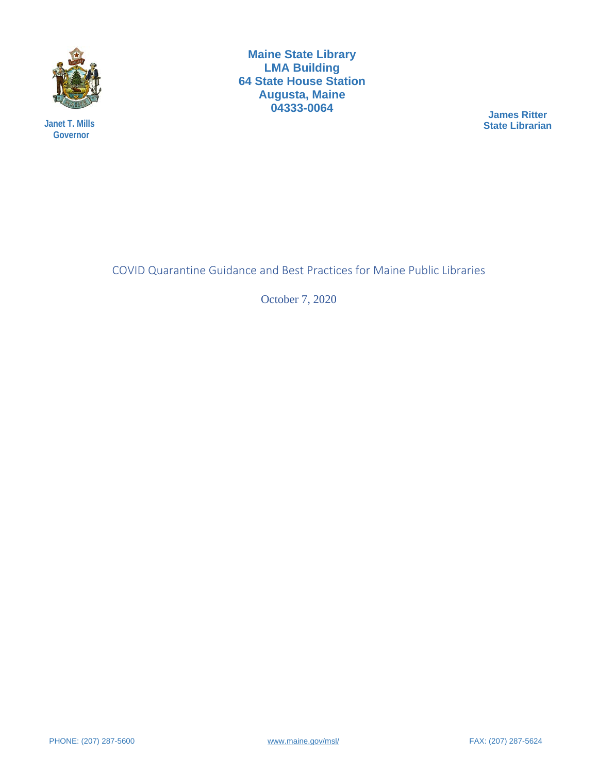

**Janet T. Mills Governor**

**Maine State Library LMA Building 64 State House Station Augusta, Maine 04333-0064**

**James Ritter State Librarian**

COVID Quarantine Guidance and Best Practices for Maine Public Libraries

October 7, 2020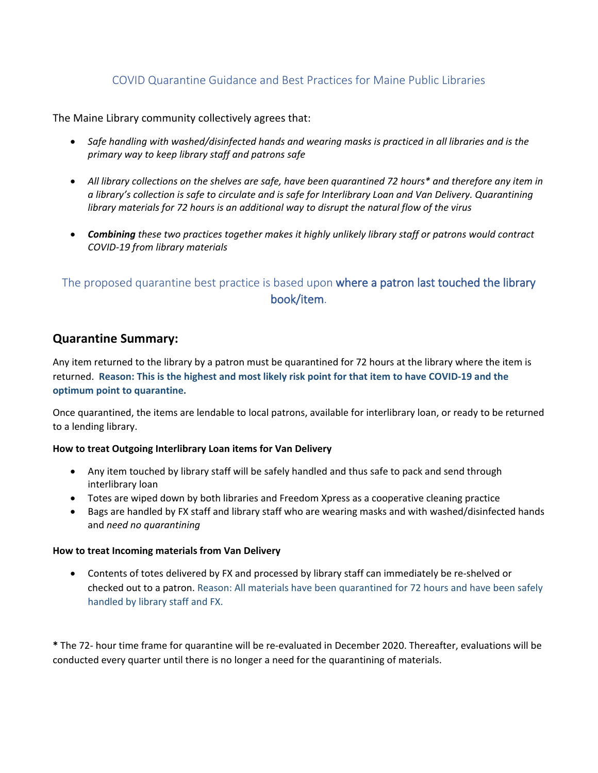### COVID Quarantine Guidance and Best Practices for Maine Public Libraries

The Maine Library community collectively agrees that:

- *Safe handling with washed/disinfected hands and wearing masks is practiced in all libraries and is the primary way to keep library staff and patrons safe*
- *All library collections on the shelves are safe, have been quarantined 72 hours\* and therefore any item in a library's collection is safe to circulate and is safe for Interlibrary Loan and Van Delivery. Quarantining library materials for 72 hours is an additional way to disrupt the natural flow of the virus*
- *Combining these two practices together makes it highly unlikely library staff or patrons would contract COVID-19 from library materials*

# The proposed quarantine best practice is based upon where a patron last touched the library book/item.

### **Quarantine Summary:**

Any item returned to the library by a patron must be quarantined for 72 hours at the library where the item is returned. **Reason: This is the highest and most likely risk point for that item to have COVID-19 and the optimum point to quarantine.**

Once quarantined, the items are lendable to local patrons, available for interlibrary loan, or ready to be returned to a lending library.

### **How to treat Outgoing Interlibrary Loan items for Van Delivery**

- Any item touched by library staff will be safely handled and thus safe to pack and send through interlibrary loan
- Totes are wiped down by both libraries and Freedom Xpress as a cooperative cleaning practice
- Bags are handled by FX staff and library staff who are wearing masks and with washed/disinfected hands and *need no quarantining*

### **How to treat Incoming materials from Van Delivery**

• Contents of totes delivered by FX and processed by library staff can immediately be re-shelved or checked out to a patron. Reason: All materials have been quarantined for 72 hours and have been safely handled by library staff and FX.

**\*** The 72- hour time frame for quarantine will be re-evaluated in December 2020. Thereafter, evaluations will be conducted every quarter until there is no longer a need for the quarantining of materials.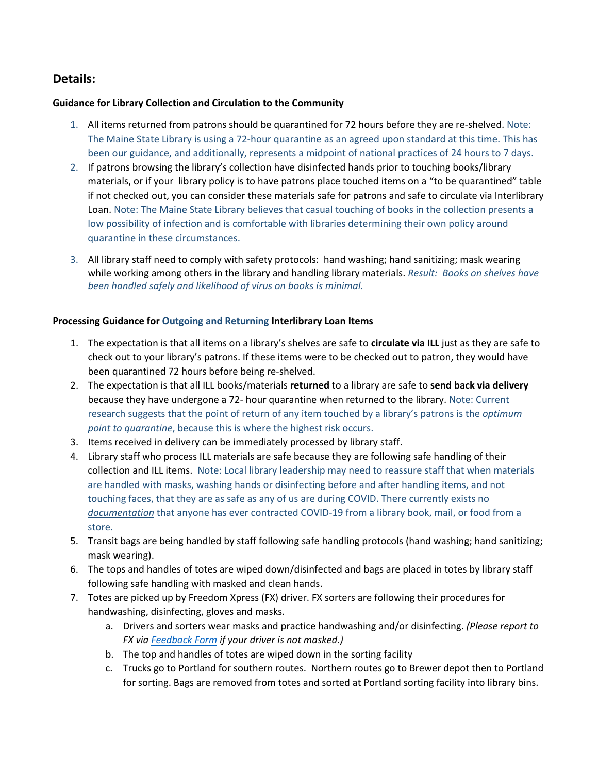## **Details:**

### **Guidance for Library Collection and Circulation to the Community**

- 1. All items returned from patrons should be quarantined for 72 hours before they are re-shelved. Note: The Maine State Library is using a 72-hour quarantine as an agreed upon standard at this time. This has been our guidance, and additionally, represents a midpoint of national practices of 24 hours to 7 days.
- 2. If patrons browsing the library's collection have disinfected hands prior to touching books/library materials, or if your library policy is to have patrons place touched items on a "to be quarantined" table if not checked out, you can consider these materials safe for patrons and safe to circulate via Interlibrary Loan. Note: The Maine State Library believes that casual touching of books in the collection presents a low possibility of infection and is comfortable with libraries determining their own policy around quarantine in these circumstances.
- 3. All library staff need to comply with safety protocols: hand washing; hand sanitizing; mask wearing while working among others in the library and handling library materials. *Result: Books on shelves have been handled safely and likelihood of virus on books is minimal.*

### **Processing Guidance for Outgoing and Returning Interlibrary Loan Items**

- 1. The expectation is that all items on a library's shelves are safe to **circulate via ILL** just as they are safe to check out to your library's patrons. If these items were to be checked out to patron, they would have been quarantined 72 hours before being re-shelved.
- 2. The expectation is that all ILL books/materials **returned** to a library are safe to **send back via delivery** because they have undergone a 72- hour quarantine when returned to the library. Note: Current research suggests that the point of return of any item touched by a library's patrons is the *optimum point to quarantine*, because this is where the highest risk occurs.
- 3. Items received in delivery can be immediately processed by library staff.
- 4. Library staff who process ILL materials are safe because they are following safe handling of their collection and ILL items. Note: Local library leadership may need to reassure staff that when materials are handled with masks, washing hands or disinfecting before and after handling items, and not touching faces, that they are as safe as any of us are during COVID. There currently exists no *documentation* that anyone has ever contracted COVID-19 from a library book, mail, or food from a store.
- 5. Transit bags are being handled by staff following safe handling protocols (hand washing; hand sanitizing; mask wearing).
- 6. The tops and handles of totes are wiped down/disinfected and bags are placed in totes by library staff following safe handling with masked and clean hands.
- 7. Totes are picked up by Freedom Xpress (FX) driver. FX sorters are following their procedures for handwashing, disinfecting, gloves and masks.
	- a. Drivers and sorters wear masks and practice handwashing and/or disinfecting. *(Please report to FX via [Feedback Form](https://www.maine.gov/msl/libs/interlib/illfeedback.htm) if your driver is not masked.)*
	- b. The top and handles of totes are wiped down in the sorting facility
	- c. Trucks go to Portland for southern routes. Northern routes go to Brewer depot then to Portland for sorting. Bags are removed from totes and sorted at Portland sorting facility into library bins.